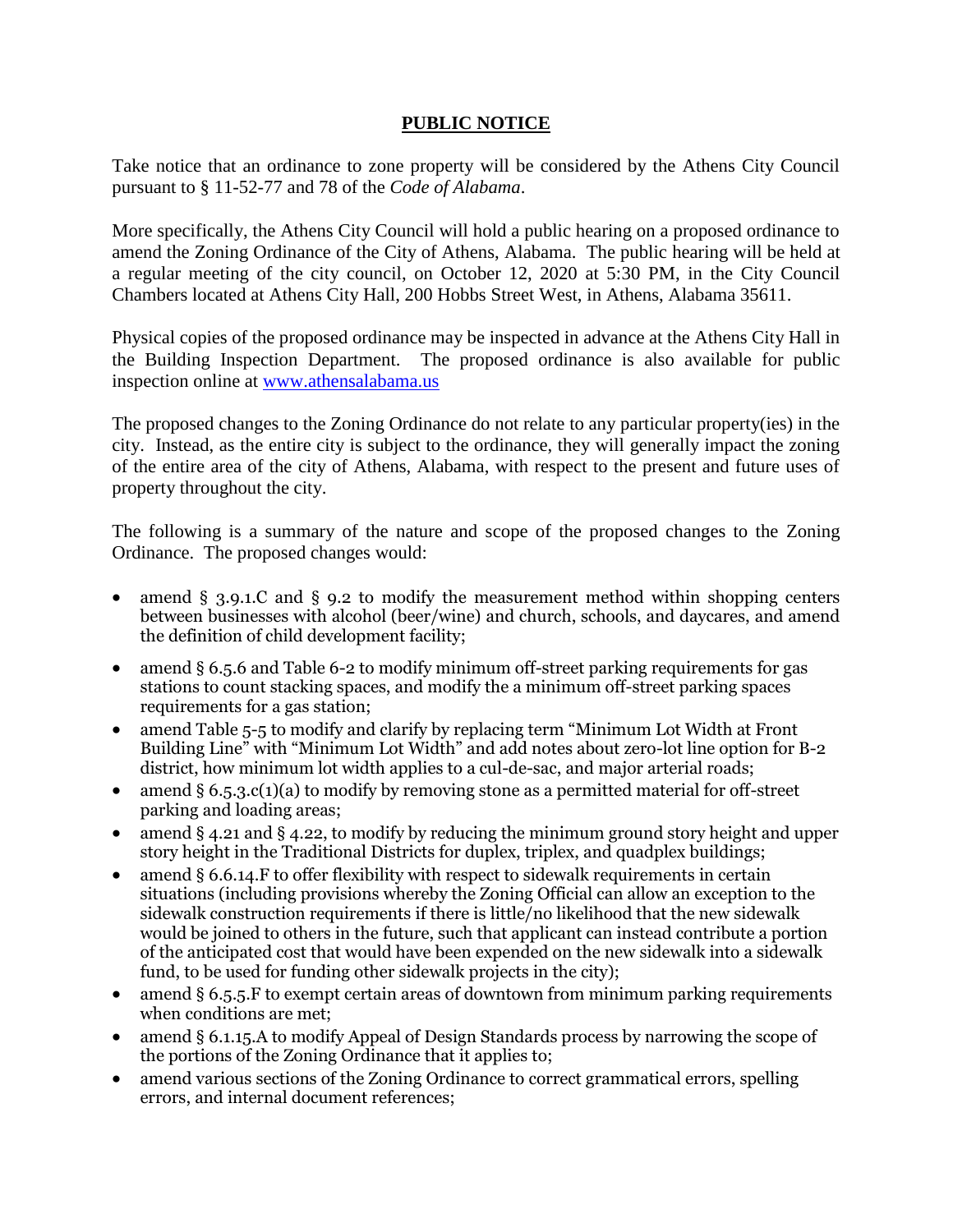## **PUBLIC NOTICE**

Take notice that an ordinance to zone property will be considered by the Athens City Council pursuant to § 11-52-77 and 78 of the *Code of Alabama*.

More specifically, the Athens City Council will hold a public hearing on a proposed ordinance to amend the Zoning Ordinance of the City of Athens, Alabama. The public hearing will be held at a regular meeting of the city council, on October 12, 2020 at 5:30 PM, in the City Council Chambers located at Athens City Hall, 200 Hobbs Street West, in Athens, Alabama 35611.

Physical copies of the proposed ordinance may be inspected in advance at the Athens City Hall in the Building Inspection Department. The proposed ordinance is also available for public inspection online at [www.athensalabama.us](http://www.athensalabama.us/)

The proposed changes to the Zoning Ordinance do not relate to any particular property(ies) in the city. Instead, as the entire city is subject to the ordinance, they will generally impact the zoning of the entire area of the city of Athens, Alabama, with respect to the present and future uses of property throughout the city.

The following is a summary of the nature and scope of the proposed changes to the Zoning Ordinance. The proposed changes would:

- amend § 3.9.1.C and § 9.2 to modify the measurement method within shopping centers between businesses with alcohol (beer/wine) and church, schools, and daycares, and amend the definition of child development facility;
- amend § 6.5.6 and Table 6-2 to modify minimum off-street parking requirements for gas stations to count stacking spaces, and modify the a minimum off-street parking spaces requirements for a gas station;
- amend Table 5-5 to modify and clarify by replacing term "Minimum Lot Width at Front Building Line" with "Minimum Lot Width" and add notes about zero-lot line option for B-2 district, how minimum lot width applies to a cul-de-sac, and major arterial roads;
- amend §  $6.5.3.c(1)(a)$  to modify by removing stone as a permitted material for off-street parking and loading areas;
- amend  $\S 4.21$  and  $\S 4.22$ , to modify by reducing the minimum ground story height and upper story height in the Traditional Districts for duplex, triplex, and quadplex buildings;
- amend § 6.6.14.F to offer flexibility with respect to sidewalk requirements in certain situations (including provisions whereby the Zoning Official can allow an exception to the sidewalk construction requirements if there is little/no likelihood that the new sidewalk would be joined to others in the future, such that applicant can instead contribute a portion of the anticipated cost that would have been expended on the new sidewalk into a sidewalk fund, to be used for funding other sidewalk projects in the city);
- amend § 6.5.5.F to exempt certain areas of downtown from minimum parking requirements when conditions are met;
- amend § 6.1.15.A to modify Appeal of Design Standards process by narrowing the scope of the portions of the Zoning Ordinance that it applies to;
- amend various sections of the Zoning Ordinance to correct grammatical errors, spelling errors, and internal document references;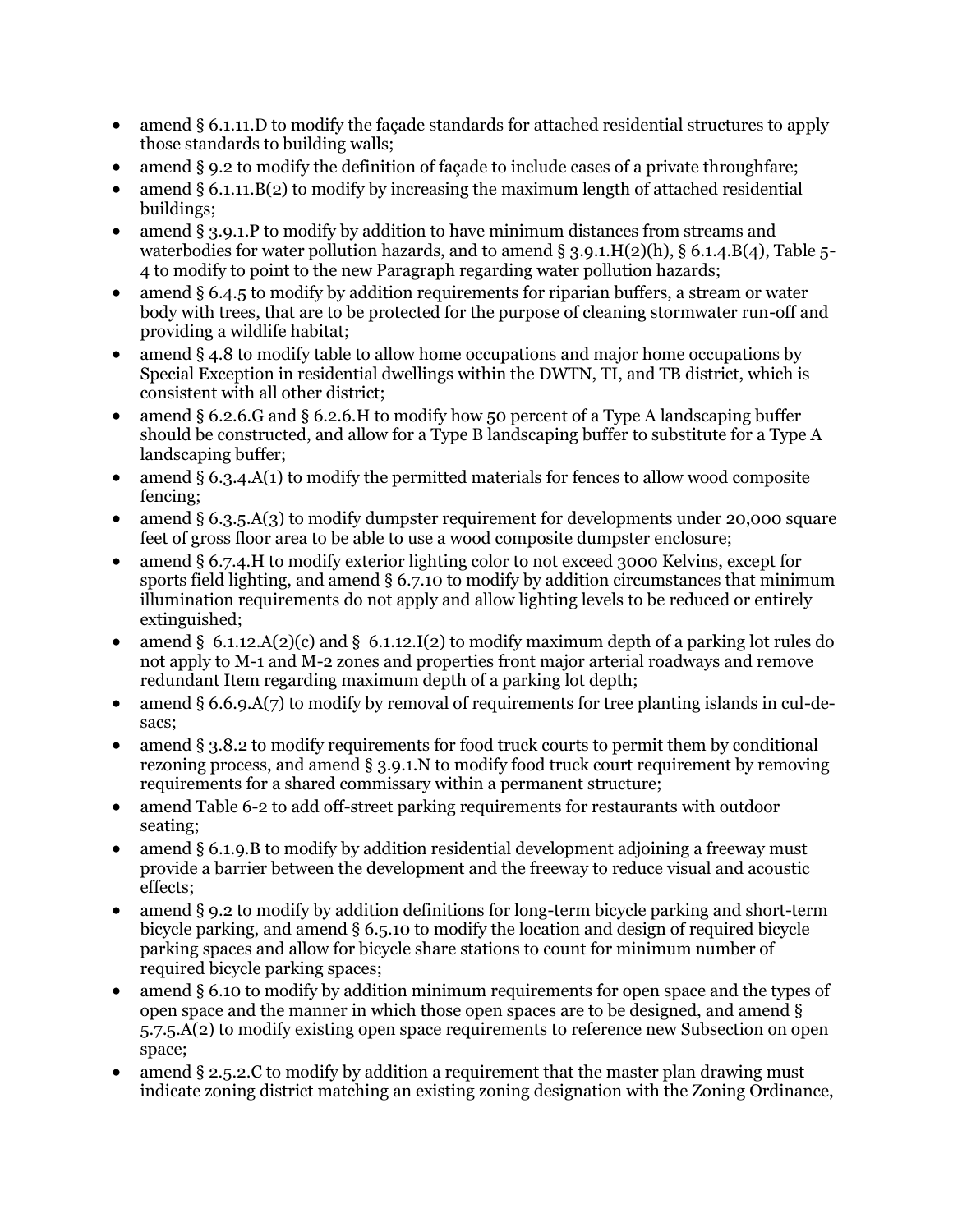- amend § 6.1.11. D to modify the facade standards for attached residential structures to apply those standards to building walls;
- amend § 9.2 to modify the definition of façade to include cases of a private throughfare;
- amend  $\S 6.1.11.B(2)$  to modify by increasing the maximum length of attached residential buildings;
- amend § 3.9.1.P to modify by addition to have minimum distances from streams and waterbodies for water pollution hazards, and to amend  $\S$  3.9.1.H(2)(h),  $\S$  6.1.4.B(4), Table 5-4 to modify to point to the new Paragraph regarding water pollution hazards;
- amend § 6.4.5 to modify by addition requirements for riparian buffers, a stream or water body with trees, that are to be protected for the purpose of cleaning stormwater run-off and providing a wildlife habitat;
- amend § 4.8 to modify table to allow home occupations and major home occupations by Special Exception in residential dwellings within the DWTN, TI, and TB district, which is consistent with all other district;
- amend § 6.2.6.G and § 6.2.6.H to modify how 50 percent of a Type A landscaping buffer should be constructed, and allow for a Type B landscaping buffer to substitute for a Type A landscaping buffer;
- amend § 6.3.4.A(1) to modify the permitted materials for fences to allow wood composite fencing;
- amend § 6.3.5.A(3) to modify dumpster requirement for developments under 20,000 square feet of gross floor area to be able to use a wood composite dumpster enclosure;
- amend § 6.7.4.H to modify exterior lighting color to not exceed 3000 Kelvins, except for sports field lighting, and amend § 6.7.10 to modify by addition circumstances that minimum illumination requirements do not apply and allow lighting levels to be reduced or entirely extinguished;
- amend § 6.1.12.A(2)(c) and § 6.1.12.I(2) to modify maximum depth of a parking lot rules do not apply to M-1 and M-2 zones and properties front major arterial roadways and remove redundant Item regarding maximum depth of a parking lot depth;
- amend § 6.6.9.A(7) to modify by removal of requirements for tree planting islands in cul-desacs;
- amend § 3.8.2 to modify requirements for food truck courts to permit them by conditional rezoning process, and amend § 3.9.1.N to modify food truck court requirement by removing requirements for a shared commissary within a permanent structure;
- amend Table 6-2 to add off-street parking requirements for restaurants with outdoor seating;
- amend § 6.1.9.B to modify by addition residential development adjoining a freeway must provide a barrier between the development and the freeway to reduce visual and acoustic effects;
- amend § 9.2 to modify by addition definitions for long-term bicycle parking and short-term bicycle parking, and amend § 6.5.10 to modify the location and design of required bicycle parking spaces and allow for bicycle share stations to count for minimum number of required bicycle parking spaces;
- amend § 6.10 to modify by addition minimum requirements for open space and the types of open space and the manner in which those open spaces are to be designed, and amend § 5.7.5.A(2) to modify existing open space requirements to reference new Subsection on open space;
- amend § 2.5.2.C to modify by addition a requirement that the master plan drawing must indicate zoning district matching an existing zoning designation with the Zoning Ordinance,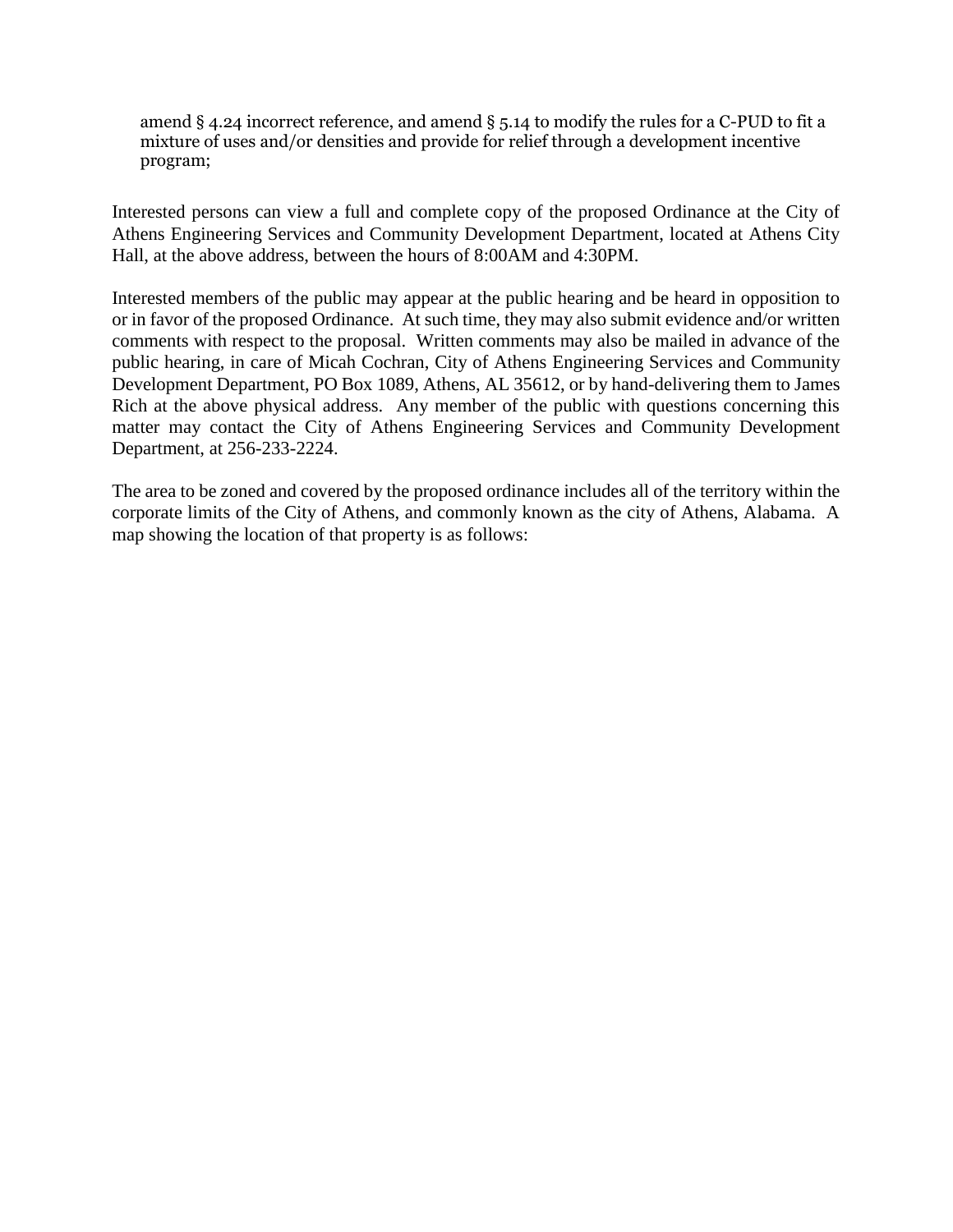amend § 4.24 incorrect reference, and amend § 5.14 to modify the rules for a C-PUD to fit a mixture of uses and/or densities and provide for relief through a development incentive program;

Interested persons can view a full and complete copy of the proposed Ordinance at the City of Athens Engineering Services and Community Development Department, located at Athens City Hall, at the above address, between the hours of 8:00AM and 4:30PM.

Interested members of the public may appear at the public hearing and be heard in opposition to or in favor of the proposed Ordinance. At such time, they may also submit evidence and/or written comments with respect to the proposal. Written comments may also be mailed in advance of the public hearing, in care of Micah Cochran, City of Athens Engineering Services and Community Development Department, PO Box 1089, Athens, AL 35612, or by hand-delivering them to James Rich at the above physical address. Any member of the public with questions concerning this matter may contact the City of Athens Engineering Services and Community Development Department, at 256-233-2224.

The area to be zoned and covered by the proposed ordinance includes all of the territory within the corporate limits of the City of Athens, and commonly known as the city of Athens, Alabama. A map showing the location of that property is as follows: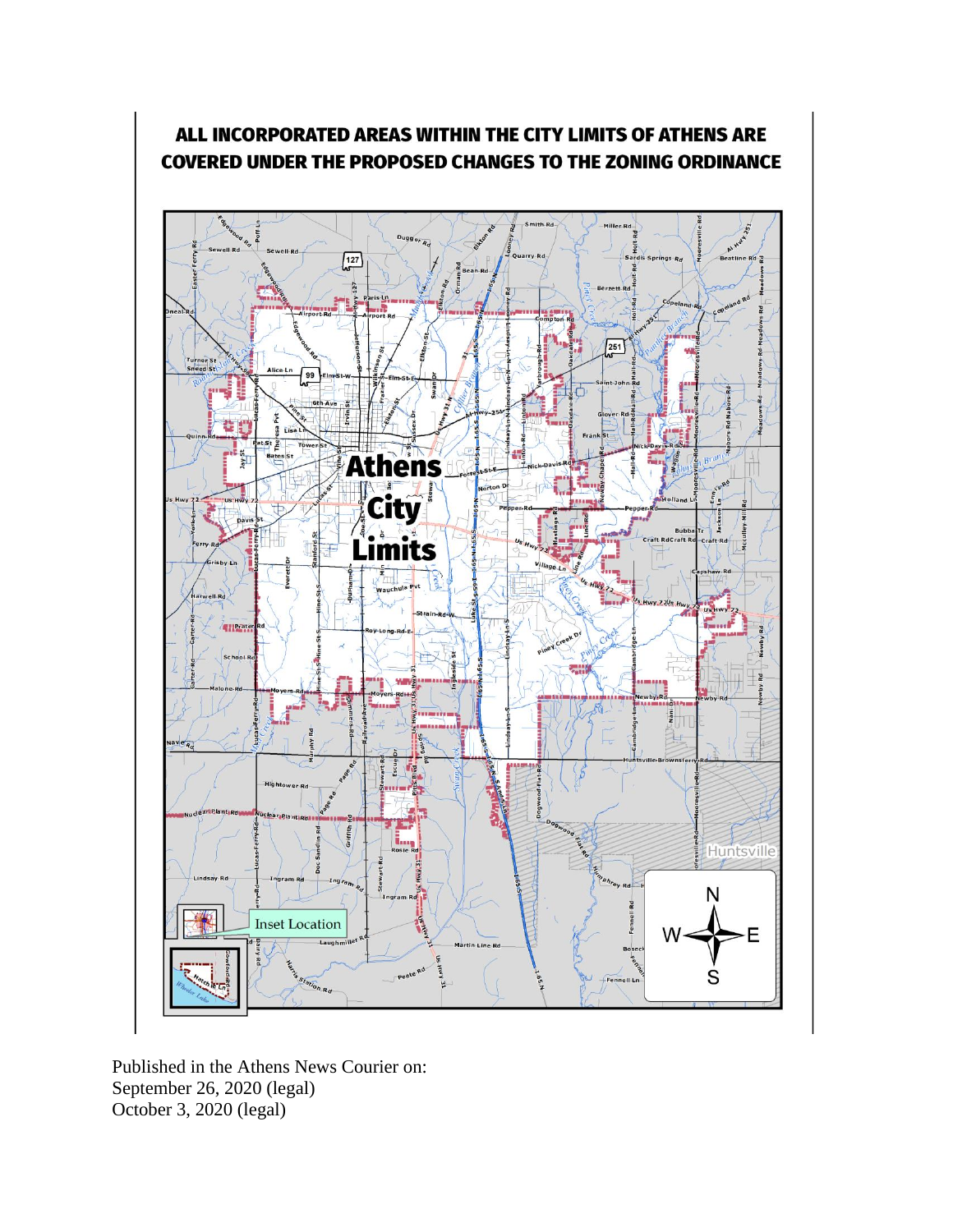

## ALL INCORPORATED AREAS WITHIN THE CITY LIMITS OF ATHENS ARE **COVERED UNDER THE PROPOSED CHANGES TO THE ZONING ORDINANCE**

Published in the Athens News Courier on: September 26, 2020 (legal) October 3, 2020 (legal)